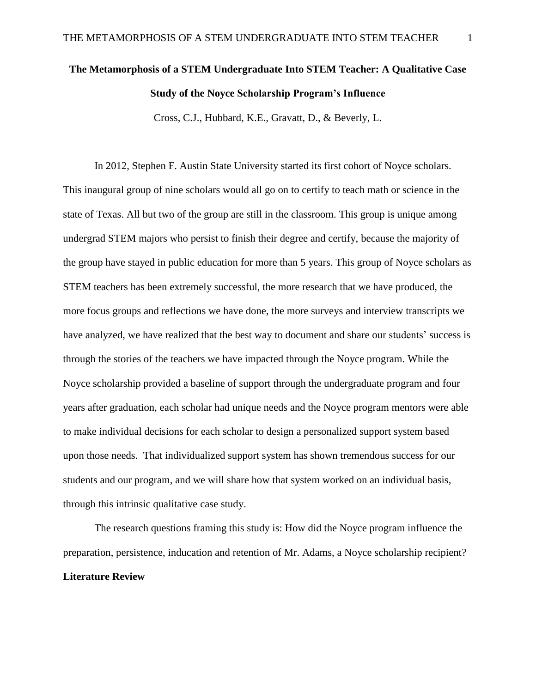# **The Metamorphosis of a STEM Undergraduate Into STEM Teacher: A Qualitative Case Study of the Noyce Scholarship Program's Influence**

Cross, C.J., Hubbard, K.E., Gravatt, D., & Beverly, L.

In 2012, Stephen F. Austin State University started its first cohort of Noyce scholars. This inaugural group of nine scholars would all go on to certify to teach math or science in the state of Texas. All but two of the group are still in the classroom. This group is unique among undergrad STEM majors who persist to finish their degree and certify, because the majority of the group have stayed in public education for more than 5 years. This group of Noyce scholars as STEM teachers has been extremely successful, the more research that we have produced, the more focus groups and reflections we have done, the more surveys and interview transcripts we have analyzed, we have realized that the best way to document and share our students' success is through the stories of the teachers we have impacted through the Noyce program. While the Noyce scholarship provided a baseline of support through the undergraduate program and four years after graduation, each scholar had unique needs and the Noyce program mentors were able to make individual decisions for each scholar to design a personalized support system based upon those needs. That individualized support system has shown tremendous success for our students and our program, and we will share how that system worked on an individual basis, through this intrinsic qualitative case study.

The research questions framing this study is: How did the Noyce program influence the preparation, persistence, inducation and retention of Mr. Adams, a Noyce scholarship recipient? **Literature Review**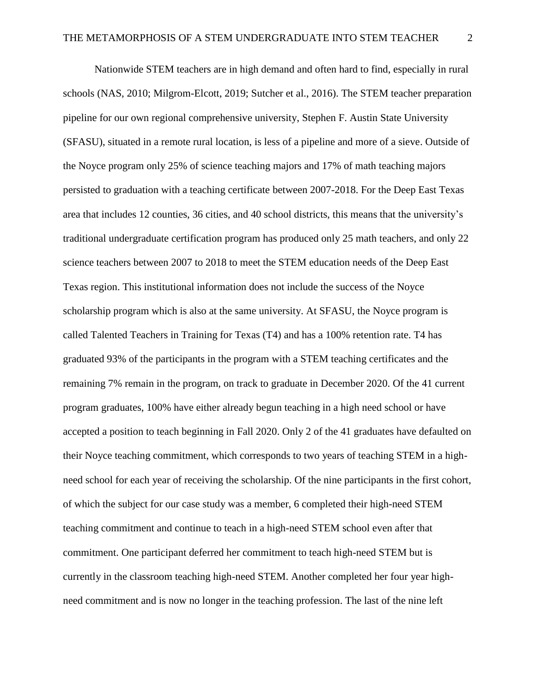Nationwide STEM teachers are in high demand and often hard to find, especially in rural schools (NAS, 2010; Milgrom-Elcott, 2019; Sutcher et al., 2016). The STEM teacher preparation pipeline for our own regional comprehensive university, Stephen F. Austin State University (SFASU), situated in a remote rural location, is less of a pipeline and more of a sieve. Outside of the Noyce program only 25% of science teaching majors and 17% of math teaching majors persisted to graduation with a teaching certificate between 2007-2018. For the Deep East Texas area that includes 12 counties, 36 cities, and 40 school districts, this means that the university's traditional undergraduate certification program has produced only 25 math teachers, and only 22 science teachers between 2007 to 2018 to meet the STEM education needs of the Deep East Texas region. This institutional information does not include the success of the Noyce scholarship program which is also at the same university. At SFASU, the Noyce program is called Talented Teachers in Training for Texas (T4) and has a 100% retention rate. T4 has graduated 93% of the participants in the program with a STEM teaching certificates and the remaining 7% remain in the program, on track to graduate in December 2020. Of the 41 current program graduates, 100% have either already begun teaching in a high need school or have accepted a position to teach beginning in Fall 2020. Only 2 of the 41 graduates have defaulted on their Noyce teaching commitment, which corresponds to two years of teaching STEM in a highneed school for each year of receiving the scholarship. Of the nine participants in the first cohort, of which the subject for our case study was a member, 6 completed their high-need STEM teaching commitment and continue to teach in a high-need STEM school even after that commitment. One participant deferred her commitment to teach high-need STEM but is currently in the classroom teaching high-need STEM. Another completed her four year highneed commitment and is now no longer in the teaching profession. The last of the nine left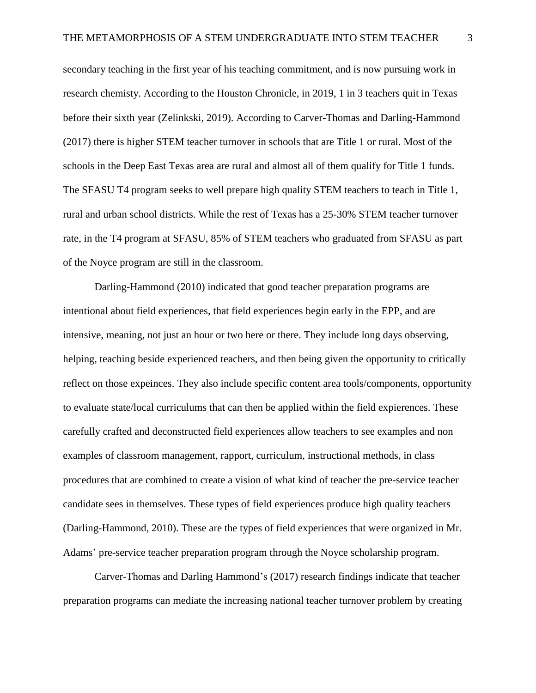secondary teaching in the first year of his teaching commitment, and is now pursuing work in research chemisty. According to the Houston Chronicle, in 2019, 1 in 3 teachers quit in Texas before their sixth year (Zelinkski, 2019). According to Carver-Thomas and Darling-Hammond (2017) there is higher STEM teacher turnover in schools that are Title 1 or rural. Most of the schools in the Deep East Texas area are rural and almost all of them qualify for Title 1 funds. The SFASU T4 program seeks to well prepare high quality STEM teachers to teach in Title 1, rural and urban school districts. While the rest of Texas has a 25-30% STEM teacher turnover rate, in the T4 program at SFASU, 85% of STEM teachers who graduated from SFASU as part of the Noyce program are still in the classroom.

Darling-Hammond (2010) indicated that good teacher preparation programs are intentional about field experiences, that field experiences begin early in the EPP, and are intensive, meaning, not just an hour or two here or there. They include long days observing, helping, teaching beside experienced teachers, and then being given the opportunity to critically reflect on those expeinces. They also include specific content area tools/components, opportunity to evaluate state/local curriculums that can then be applied within the field expierences. These carefully crafted and deconstructed field experiences allow teachers to see examples and non examples of classroom management, rapport, curriculum, instructional methods, in class procedures that are combined to create a vision of what kind of teacher the pre-service teacher candidate sees in themselves. These types of field experiences produce high quality teachers (Darling-Hammond, 2010). These are the types of field experiences that were organized in Mr. Adams' pre-service teacher preparation program through the Noyce scholarship program.

Carver-Thomas and Darling Hammond's (2017) research findings indicate that teacher preparation programs can mediate the increasing national teacher turnover problem by creating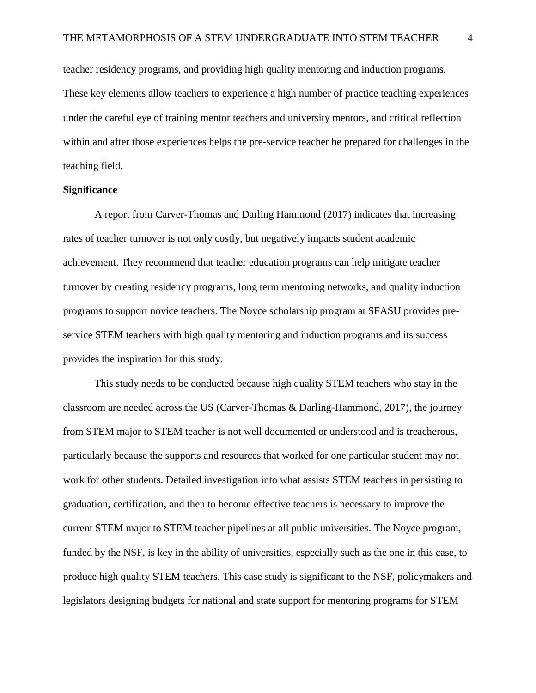teacher residency programs, and providing high quality mentoring and induction programs. These key elements allow teachers to experience a high number of practice teaching experiences under the careful eye of training mentor teachers and university mentors, and critical reflection within and after those experiences helps the pre-service teacher be prepared for challenges in the teaching field.

## **Significance**

A report from Carver-Thomas and Darling Hammond (2017) indicates that increasing rates of teacher turnover is not only costly, but negatively impacts student academic achievement. They recommend that teacher education programs can help mitigate teacher turnover by creating residency programs, long term mentoring networks, and quality induction programs to support novice teachers. The Noyce scholarship program at SFASU provides preservice STEM teachers with high quality mentoring and induction programs and its success provides the inspiration for this study.

This study needs to be conducted because high quality STEM teachers who stay in the classroom are needed across the US (Carver-Thomas & Darling-Hammond, 2017), the journey from STEM major to STEM teacher is not well documented or understood and is treacherous, particularly because the supports and resources that worked for one particular student may not work for other students. Detailed investigation into what assists STEM teachers in persisting to graduation, certification, and then to become effective teachers is necessary to improve the current STEM major to STEM teacher pipelines at all public universities. The Noyce program, funded by the NSF, is key in the ability of universities, especially such as the one in this case, to produce high quality STEM teachers. This case study is significant to the NSF, policymakers and legislators designing budgets for national and state support for mentoring programs for STEM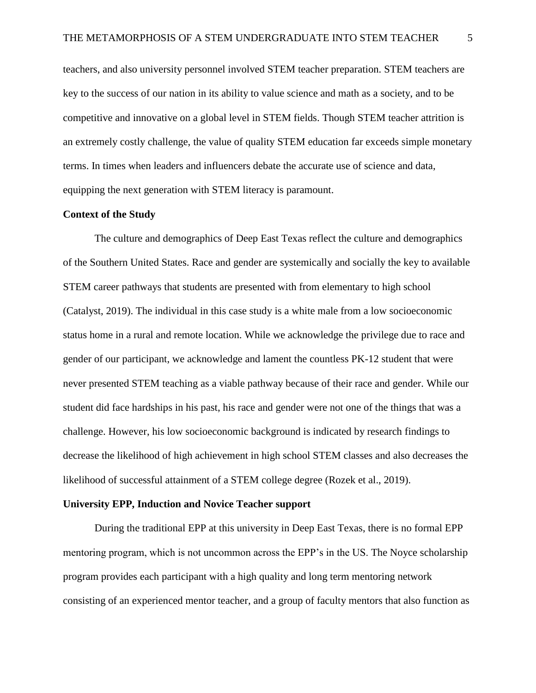teachers, and also university personnel involved STEM teacher preparation. STEM teachers are key to the success of our nation in its ability to value science and math as a society, and to be competitive and innovative on a global level in STEM fields. Though STEM teacher attrition is an extremely costly challenge, the value of quality STEM education far exceeds simple monetary terms. In times when leaders and influencers debate the accurate use of science and data, equipping the next generation with STEM literacy is paramount.

# **Context of the Study**

The culture and demographics of Deep East Texas reflect the culture and demographics of the Southern United States. Race and gender are systemically and socially the key to available STEM career pathways that students are presented with from elementary to high school (Catalyst, 2019). The individual in this case study is a white male from a low socioeconomic status home in a rural and remote location. While we acknowledge the privilege due to race and gender of our participant, we acknowledge and lament the countless PK-12 student that were never presented STEM teaching as a viable pathway because of their race and gender. While our student did face hardships in his past, his race and gender were not one of the things that was a challenge. However, his low socioeconomic background is indicated by research findings to decrease the likelihood of high achievement in high school STEM classes and also decreases the likelihood of successful attainment of a STEM college degree (Rozek et al., 2019).

#### **University EPP, Induction and Novice Teacher support**

During the traditional EPP at this university in Deep East Texas, there is no formal EPP mentoring program, which is not uncommon across the EPP's in the US. The Noyce scholarship program provides each participant with a high quality and long term mentoring network consisting of an experienced mentor teacher, and a group of faculty mentors that also function as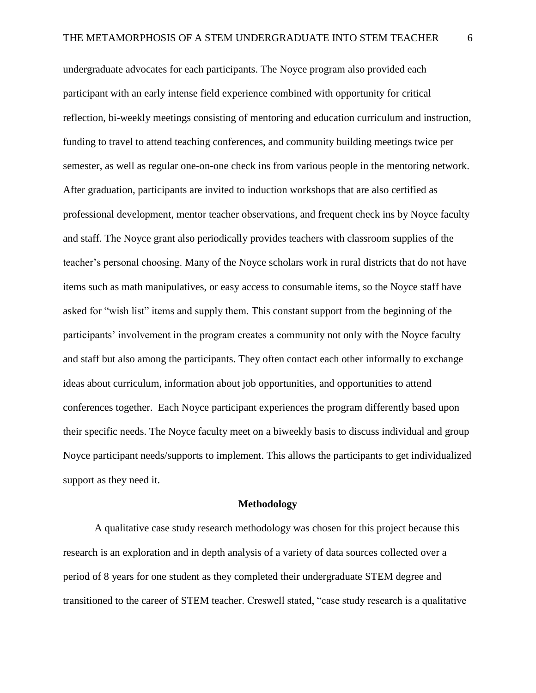undergraduate advocates for each participants. The Noyce program also provided each participant with an early intense field experience combined with opportunity for critical reflection, bi-weekly meetings consisting of mentoring and education curriculum and instruction, funding to travel to attend teaching conferences, and community building meetings twice per semester, as well as regular one-on-one check ins from various people in the mentoring network. After graduation, participants are invited to induction workshops that are also certified as professional development, mentor teacher observations, and frequent check ins by Noyce faculty and staff. The Noyce grant also periodically provides teachers with classroom supplies of the teacher's personal choosing. Many of the Noyce scholars work in rural districts that do not have items such as math manipulatives, or easy access to consumable items, so the Noyce staff have asked for "wish list" items and supply them. This constant support from the beginning of the participants' involvement in the program creates a community not only with the Noyce faculty and staff but also among the participants. They often contact each other informally to exchange ideas about curriculum, information about job opportunities, and opportunities to attend conferences together. Each Noyce participant experiences the program differently based upon their specific needs. The Noyce faculty meet on a biweekly basis to discuss individual and group Noyce participant needs/supports to implement. This allows the participants to get individualized support as they need it.

# **Methodology**

A qualitative case study research methodology was chosen for this project because this research is an exploration and in depth analysis of a variety of data sources collected over a period of 8 years for one student as they completed their undergraduate STEM degree and transitioned to the career of STEM teacher. Creswell stated, "case study research is a qualitative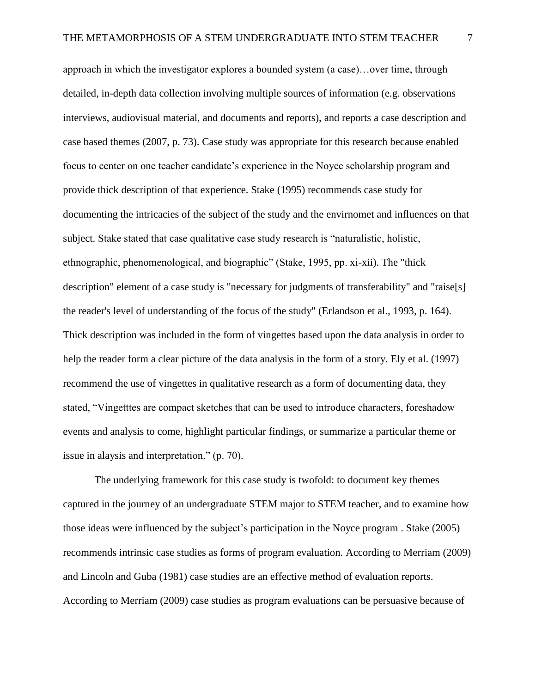approach in which the investigator explores a bounded system (a case)…over time, through detailed, in-depth data collection involving multiple sources of information (e.g. observations interviews, audiovisual material, and documents and reports), and reports a case description and case based themes (2007, p. 73). Case study was appropriate for this research because enabled focus to center on one teacher candidate's experience in the Noyce scholarship program and provide thick description of that experience. Stake (1995) recommends case study for documenting the intricacies of the subject of the study and the envirnomet and influences on that subject. Stake stated that case qualitative case study research is "naturalistic, holistic, ethnographic, phenomenological, and biographic" (Stake, 1995, pp. xi-xii). The "thick description" element of a case study is "necessary for judgments of transferability" and "raise[s] the reader's level of understanding of the focus of the study" (Erlandson et al., 1993, p. 164). Thick description was included in the form of vingettes based upon the data analysis in order to help the reader form a clear picture of the data analysis in the form of a story. Ely et al. (1997) recommend the use of vingettes in qualitative research as a form of documenting data, they stated, "Vingetttes are compact sketches that can be used to introduce characters, foreshadow events and analysis to come, highlight particular findings, or summarize a particular theme or issue in alaysis and interpretation." (p. 70).

The underlying framework for this case study is twofold: to document key themes captured in the journey of an undergraduate STEM major to STEM teacher, and to examine how those ideas were influenced by the subject's participation in the Noyce program . Stake (2005) recommends intrinsic case studies as forms of program evaluation. According to Merriam (2009) and Lincoln and Guba (1981) case studies are an effective method of evaluation reports. According to Merriam (2009) case studies as program evaluations can be persuasive because of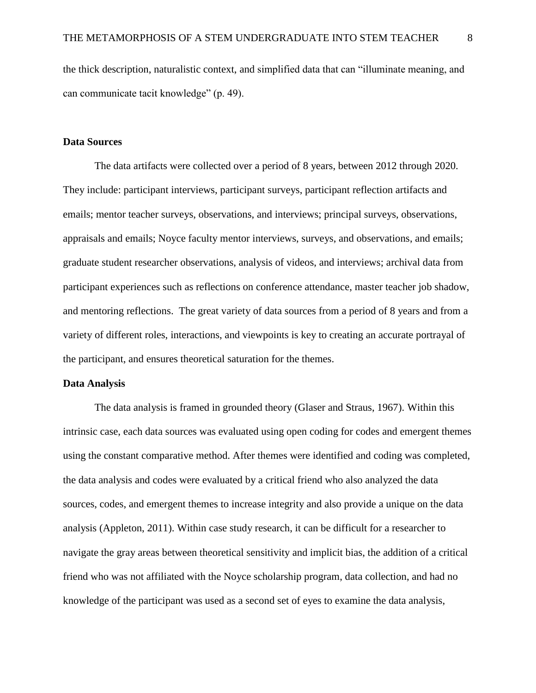the thick description, naturalistic context, and simplified data that can "illuminate meaning, and can communicate tacit knowledge" (p. 49).

# **Data Sources**

The data artifacts were collected over a period of 8 years, between 2012 through 2020. They include: participant interviews, participant surveys, participant reflection artifacts and emails; mentor teacher surveys, observations, and interviews; principal surveys, observations, appraisals and emails; Noyce faculty mentor interviews, surveys, and observations, and emails; graduate student researcher observations, analysis of videos, and interviews; archival data from participant experiences such as reflections on conference attendance, master teacher job shadow, and mentoring reflections. The great variety of data sources from a period of 8 years and from a variety of different roles, interactions, and viewpoints is key to creating an accurate portrayal of the participant, and ensures theoretical saturation for the themes.

### **Data Analysis**

The data analysis is framed in grounded theory (Glaser and Straus, 1967). Within this intrinsic case, each data sources was evaluated using open coding for codes and emergent themes using the constant comparative method. After themes were identified and coding was completed, the data analysis and codes were evaluated by a critical friend who also analyzed the data sources, codes, and emergent themes to increase integrity and also provide a unique on the data analysis (Appleton, 2011). Within case study research, it can be difficult for a researcher to navigate the gray areas between theoretical sensitivity and implicit bias, the addition of a critical friend who was not affiliated with the Noyce scholarship program, data collection, and had no knowledge of the participant was used as a second set of eyes to examine the data analysis,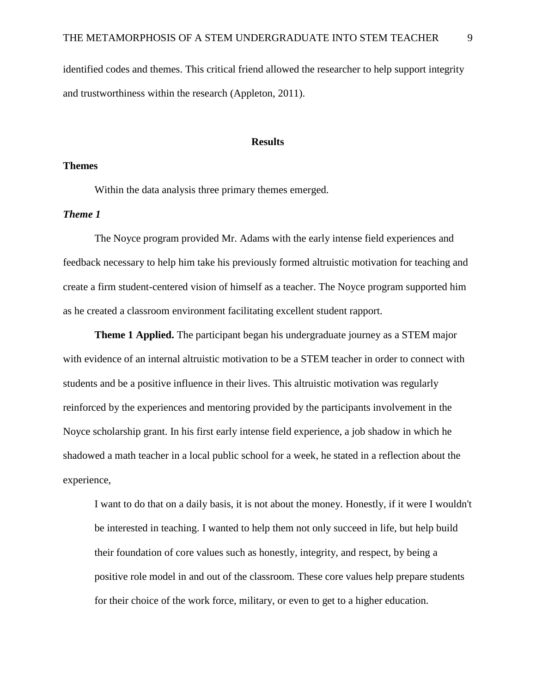identified codes and themes. This critical friend allowed the researcher to help support integrity and trustworthiness within the research (Appleton, 2011).

# **Results**

# **Themes**

Within the data analysis three primary themes emerged.

# *Theme 1*

The Noyce program provided Mr. Adams with the early intense field experiences and feedback necessary to help him take his previously formed altruistic motivation for teaching and create a firm student-centered vision of himself as a teacher. The Noyce program supported him as he created a classroom environment facilitating excellent student rapport.

**Theme 1 Applied.** The participant began his undergraduate journey as a STEM major with evidence of an internal altruistic motivation to be a STEM teacher in order to connect with students and be a positive influence in their lives. This altruistic motivation was regularly reinforced by the experiences and mentoring provided by the participants involvement in the Noyce scholarship grant. In his first early intense field experience, a job shadow in which he shadowed a math teacher in a local public school for a week, he stated in a reflection about the experience,

I want to do that on a daily basis, it is not about the money. Honestly, if it were I wouldn't be interested in teaching. I wanted to help them not only succeed in life, but help build their foundation of core values such as honestly, integrity, and respect, by being a positive role model in and out of the classroom. These core values help prepare students for their choice of the work force, military, or even to get to a higher education.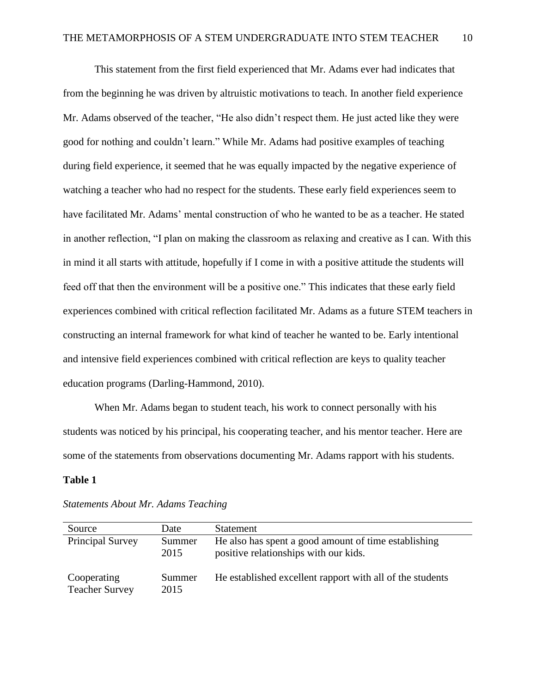This statement from the first field experienced that Mr. Adams ever had indicates that from the beginning he was driven by altruistic motivations to teach. In another field experience Mr. Adams observed of the teacher, "He also didn't respect them. He just acted like they were good for nothing and couldn't learn." While Mr. Adams had positive examples of teaching during field experience, it seemed that he was equally impacted by the negative experience of watching a teacher who had no respect for the students. These early field experiences seem to have facilitated Mr. Adams' mental construction of who he wanted to be as a teacher. He stated in another reflection, "I plan on making the classroom as relaxing and creative as I can. With this in mind it all starts with attitude, hopefully if I come in with a positive attitude the students will feed off that then the environment will be a positive one." This indicates that these early field experiences combined with critical reflection facilitated Mr. Adams as a future STEM teachers in constructing an internal framework for what kind of teacher he wanted to be. Early intentional and intensive field experiences combined with critical reflection are keys to quality teacher education programs (Darling-Hammond, 2010).

When Mr. Adams began to student teach, his work to connect personally with his students was noticed by his principal, his cooperating teacher, and his mentor teacher. Here are some of the statements from observations documenting Mr. Adams rapport with his students.

# **Table 1**

| Source                               | Date           | <b>Statement</b>                                                                              |
|--------------------------------------|----------------|-----------------------------------------------------------------------------------------------|
| Principal Survey                     | Summer<br>2015 | He also has spent a good amount of time establishing<br>positive relationships with our kids. |
| Cooperating<br><b>Teacher Survey</b> | Summer<br>2015 | He established excellent rapport with all of the students                                     |

### *Statements About Mr. Adams Teaching*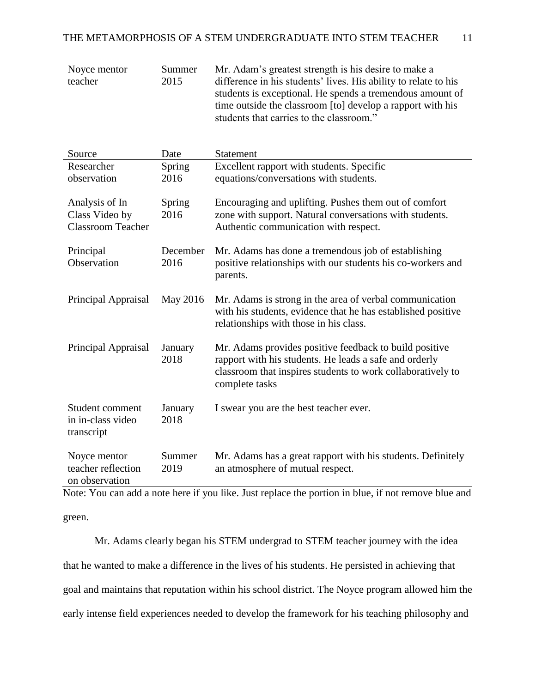| Noyce mentor<br>teacher                                      | Summer<br>2015   | Mr. Adam's greatest strength is his desire to make a<br>difference in his students' lives. His ability to relate to his<br>students is exceptional. He spends a tremendous amount of<br>time outside the classroom [to] develop a rapport with his<br>students that carries to the classroom." |
|--------------------------------------------------------------|------------------|------------------------------------------------------------------------------------------------------------------------------------------------------------------------------------------------------------------------------------------------------------------------------------------------|
| Source                                                       | Date             | <b>Statement</b>                                                                                                                                                                                                                                                                               |
| Researcher                                                   | Spring           | Excellent rapport with students. Specific                                                                                                                                                                                                                                                      |
| observation                                                  | 2016             | equations/conversations with students.                                                                                                                                                                                                                                                         |
| Analysis of In<br>Class Video by<br><b>Classroom Teacher</b> | Spring<br>2016   | Encouraging and uplifting. Pushes them out of comfort<br>zone with support. Natural conversations with students.<br>Authentic communication with respect.                                                                                                                                      |
| Principal<br>Observation                                     | December<br>2016 | Mr. Adams has done a tremendous job of establishing<br>positive relationships with our students his co-workers and<br>parents.                                                                                                                                                                 |
| Principal Appraisal                                          | May 2016         | Mr. Adams is strong in the area of verbal communication<br>with his students, evidence that he has established positive<br>relationships with those in his class.                                                                                                                              |
| Principal Appraisal                                          | January<br>2018  | Mr. Adams provides positive feedback to build positive<br>rapport with his students. He leads a safe and orderly<br>classroom that inspires students to work collaboratively to<br>complete tasks                                                                                              |
| Student comment<br>in in-class video<br>transcript           | January<br>2018  | I swear you are the best teacher ever.                                                                                                                                                                                                                                                         |
| Noyce mentor<br>teacher reflection<br>on observation         | Summer<br>2019   | Mr. Adams has a great rapport with his students. Definitely<br>an atmosphere of mutual respect.                                                                                                                                                                                                |

Note: You can add a note here if you like. Just replace the portion in blue, if not remove blue and green.

Mr. Adams clearly began his STEM undergrad to STEM teacher journey with the idea that he wanted to make a difference in the lives of his students. He persisted in achieving that goal and maintains that reputation within his school district. The Noyce program allowed him the early intense field experiences needed to develop the framework for his teaching philosophy and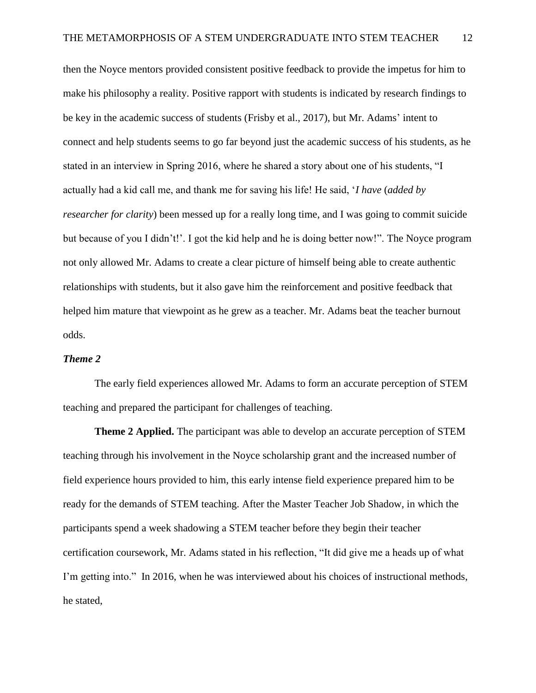then the Noyce mentors provided consistent positive feedback to provide the impetus for him to make his philosophy a reality. Positive rapport with students is indicated by research findings to be key in the academic success of students (Frisby et al., 2017), but Mr. Adams' intent to connect and help students seems to go far beyond just the academic success of his students, as he stated in an interview in Spring 2016, where he shared a story about one of his students, "I actually had a kid call me, and thank me for saving his life! He said, '*I have* (*added by researcher for clarity*) been messed up for a really long time, and I was going to commit suicide but because of you I didn't!'. I got the kid help and he is doing better now!". The Noyce program not only allowed Mr. Adams to create a clear picture of himself being able to create authentic relationships with students, but it also gave him the reinforcement and positive feedback that helped him mature that viewpoint as he grew as a teacher. Mr. Adams beat the teacher burnout odds.

## *Theme 2*

The early field experiences allowed Mr. Adams to form an accurate perception of STEM teaching and prepared the participant for challenges of teaching.

**Theme 2 Applied.** The participant was able to develop an accurate perception of STEM teaching through his involvement in the Noyce scholarship grant and the increased number of field experience hours provided to him, this early intense field experience prepared him to be ready for the demands of STEM teaching. After the Master Teacher Job Shadow, in which the participants spend a week shadowing a STEM teacher before they begin their teacher certification coursework, Mr. Adams stated in his reflection, "It did give me a heads up of what I'm getting into." In 2016, when he was interviewed about his choices of instructional methods, he stated,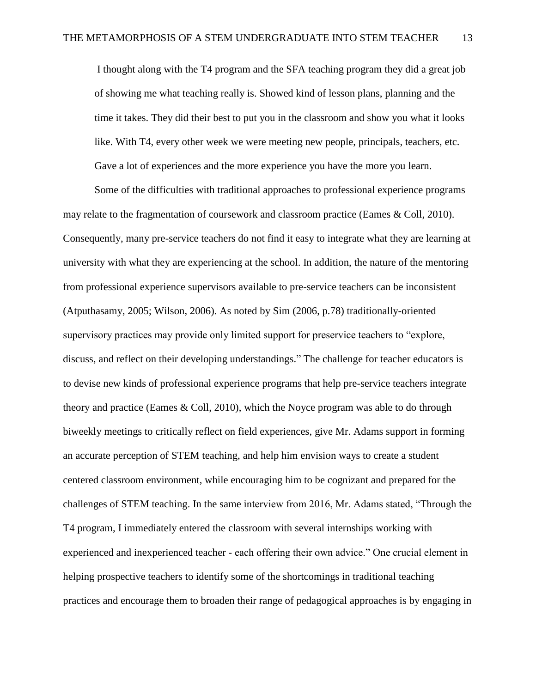I thought along with the T4 program and the SFA teaching program they did a great job of showing me what teaching really is. Showed kind of lesson plans, planning and the time it takes. They did their best to put you in the classroom and show you what it looks like. With T4, every other week we were meeting new people, principals, teachers, etc. Gave a lot of experiences and the more experience you have the more you learn.

Some of the difficulties with traditional approaches to professional experience programs may relate to the fragmentation of coursework and classroom practice (Eames & Coll, 2010). Consequently, many pre-service teachers do not find it easy to integrate what they are learning at university with what they are experiencing at the school. In addition, the nature of the mentoring from professional experience supervisors available to pre-service teachers can be inconsistent (Atputhasamy, 2005; Wilson, 2006). As noted by Sim (2006, p.78) traditionally-oriented supervisory practices may provide only limited support for preservice teachers to "explore, discuss, and reflect on their developing understandings." The challenge for teacher educators is to devise new kinds of professional experience programs that help pre-service teachers integrate theory and practice (Eames & Coll, 2010), which the Noyce program was able to do through biweekly meetings to critically reflect on field experiences, give Mr. Adams support in forming an accurate perception of STEM teaching, and help him envision ways to create a student centered classroom environment, while encouraging him to be cognizant and prepared for the challenges of STEM teaching. In the same interview from 2016, Mr. Adams stated, "Through the T4 program, I immediately entered the classroom with several internships working with experienced and inexperienced teacher - each offering their own advice." One crucial element in helping prospective teachers to identify some of the shortcomings in traditional teaching practices and encourage them to broaden their range of pedagogical approaches is by engaging in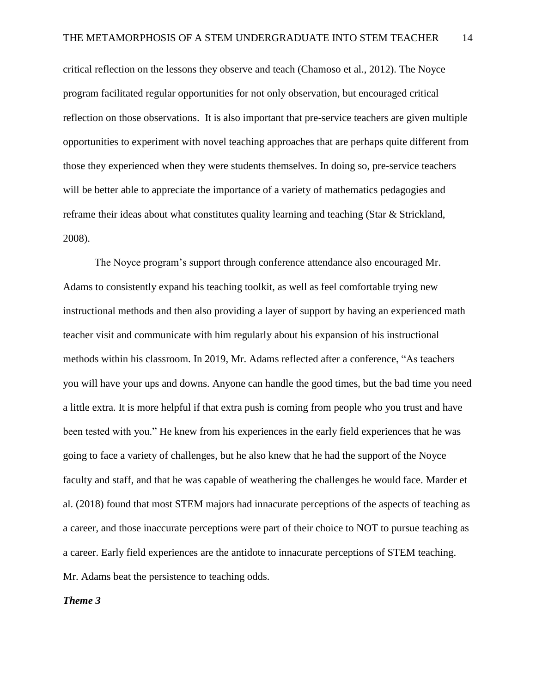critical reflection on the lessons they observe and teach (Chamoso et al., 2012). The Noyce program facilitated regular opportunities for not only observation, but encouraged critical reflection on those observations. It is also important that pre-service teachers are given multiple opportunities to experiment with novel teaching approaches that are perhaps quite different from those they experienced when they were students themselves. In doing so, pre-service teachers will be better able to appreciate the importance of a variety of mathematics pedagogies and reframe their ideas about what constitutes quality learning and teaching (Star & Strickland, 2008).

The Noyce program's support through conference attendance also encouraged Mr. Adams to consistently expand his teaching toolkit, as well as feel comfortable trying new instructional methods and then also providing a layer of support by having an experienced math teacher visit and communicate with him regularly about his expansion of his instructional methods within his classroom. In 2019, Mr. Adams reflected after a conference, "As teachers you will have your ups and downs. Anyone can handle the good times, but the bad time you need a little extra. It is more helpful if that extra push is coming from people who you trust and have been tested with you." He knew from his experiences in the early field experiences that he was going to face a variety of challenges, but he also knew that he had the support of the Noyce faculty and staff, and that he was capable of weathering the challenges he would face. Marder et al. (2018) found that most STEM majors had innacurate perceptions of the aspects of teaching as a career, and those inaccurate perceptions were part of their choice to NOT to pursue teaching as a career. Early field experiences are the antidote to innacurate perceptions of STEM teaching. Mr. Adams beat the persistence to teaching odds.

*Theme 3*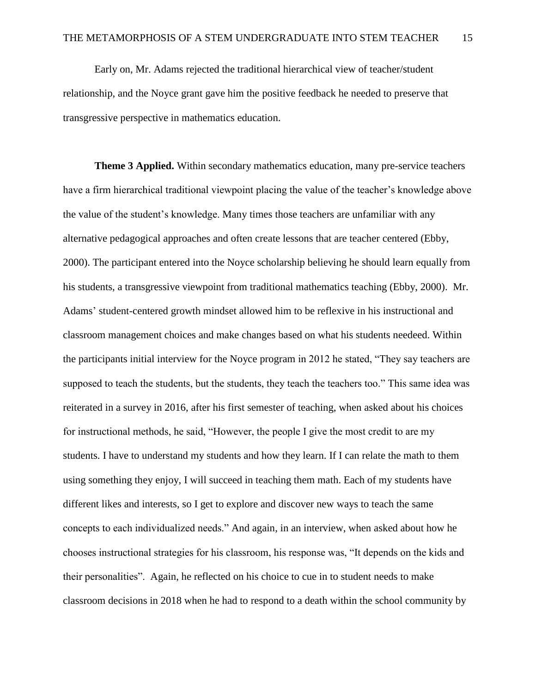Early on, Mr. Adams rejected the traditional hierarchical view of teacher/student relationship, and the Noyce grant gave him the positive feedback he needed to preserve that transgressive perspective in mathematics education.

**Theme 3 Applied.** Within secondary mathematics education, many pre-service teachers have a firm hierarchical traditional viewpoint placing the value of the teacher's knowledge above the value of the student's knowledge. Many times those teachers are unfamiliar with any alternative pedagogical approaches and often create lessons that are teacher centered (Ebby, 2000). The participant entered into the Noyce scholarship believing he should learn equally from his students, a transgressive viewpoint from traditional mathematics teaching (Ebby, 2000). Mr. Adams' student-centered growth mindset allowed him to be reflexive in his instructional and classroom management choices and make changes based on what his students needeed. Within the participants initial interview for the Noyce program in 2012 he stated, "They say teachers are supposed to teach the students, but the students, they teach the teachers too." This same idea was reiterated in a survey in 2016, after his first semester of teaching, when asked about his choices for instructional methods, he said, "However, the people I give the most credit to are my students. I have to understand my students and how they learn. If I can relate the math to them using something they enjoy, I will succeed in teaching them math. Each of my students have different likes and interests, so I get to explore and discover new ways to teach the same concepts to each individualized needs." And again, in an interview, when asked about how he chooses instructional strategies for his classroom, his response was, "It depends on the kids and their personalities". Again, he reflected on his choice to cue in to student needs to make classroom decisions in 2018 when he had to respond to a death within the school community by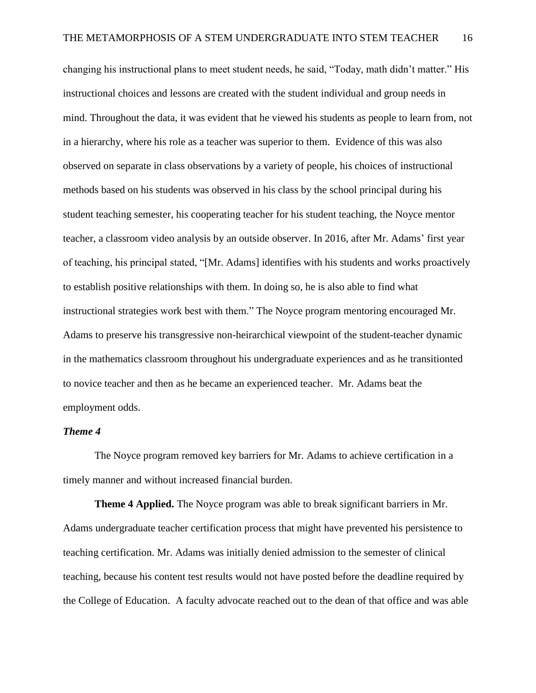changing his instructional plans to meet student needs, he said, "Today, math didn't matter." His instructional choices and lessons are created with the student individual and group needs in mind. Throughout the data, it was evident that he viewed his students as people to learn from, not in a hierarchy, where his role as a teacher was superior to them. Evidence of this was also observed on separate in class observations by a variety of people, his choices of instructional methods based on his students was observed in his class by the school principal during his student teaching semester, his cooperating teacher for his student teaching, the Noyce mentor teacher, a classroom video analysis by an outside observer. In 2016, after Mr. Adams' first year of teaching, his principal stated, "[Mr. Adams] identifies with his students and works proactively to establish positive relationships with them. In doing so, he is also able to find what instructional strategies work best with them." The Noyce program mentoring encouraged Mr. Adams to preserve his transgressive non-heirarchical viewpoint of the student-teacher dynamic in the mathematics classroom throughout his undergraduate experiences and as he transitionted to novice teacher and then as he became an experienced teacher. Mr. Adams beat the employment odds.

# *Theme 4*

The Noyce program removed key barriers for Mr. Adams to achieve certification in a timely manner and without increased financial burden.

**Theme 4 Applied.** The Noyce program was able to break significant barriers in Mr. Adams undergraduate teacher certification process that might have prevented his persistence to teaching certification. Mr. Adams was initially denied admission to the semester of clinical teaching, because his content test results would not have posted before the deadline required by the College of Education. A faculty advocate reached out to the dean of that office and was able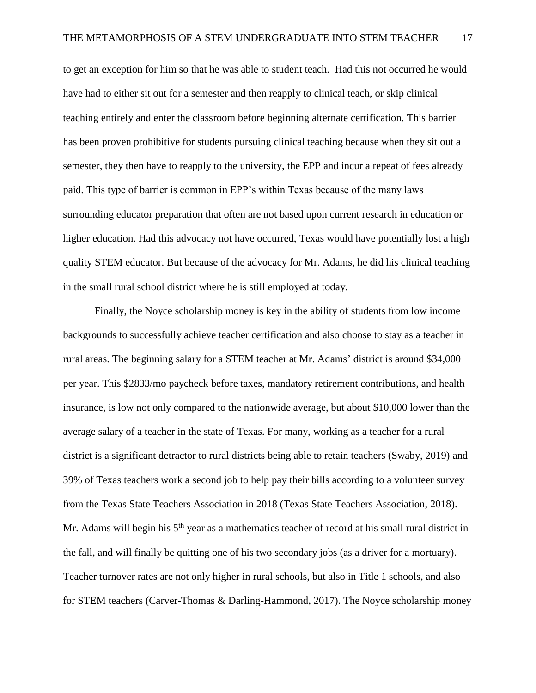to get an exception for him so that he was able to student teach. Had this not occurred he would have had to either sit out for a semester and then reapply to clinical teach, or skip clinical teaching entirely and enter the classroom before beginning alternate certification. This barrier has been proven prohibitive for students pursuing clinical teaching because when they sit out a semester, they then have to reapply to the university, the EPP and incur a repeat of fees already paid. This type of barrier is common in EPP's within Texas because of the many laws surrounding educator preparation that often are not based upon current research in education or higher education. Had this advocacy not have occurred, Texas would have potentially lost a high quality STEM educator. But because of the advocacy for Mr. Adams, he did his clinical teaching in the small rural school district where he is still employed at today.

Finally, the Noyce scholarship money is key in the ability of students from low income backgrounds to successfully achieve teacher certification and also choose to stay as a teacher in rural areas. The beginning salary for a STEM teacher at Mr. Adams' district is around \$34,000 per year. This \$2833/mo paycheck before taxes, mandatory retirement contributions, and health insurance, is low not only compared to the nationwide average, but about \$10,000 lower than the average salary of a teacher in the state of Texas. For many, working as a teacher for a rural district is a significant detractor to rural districts being able to retain teachers (Swaby, 2019) and 39% of Texas teachers work a second job to help pay their bills according to a volunteer survey from the Texas State Teachers Association in 2018 (Texas State Teachers Association, 2018). Mr. Adams will begin his  $5<sup>th</sup>$  year as a mathematics teacher of record at his small rural district in the fall, and will finally be quitting one of his two secondary jobs (as a driver for a mortuary). Teacher turnover rates are not only higher in rural schools, but also in Title 1 schools, and also for STEM teachers (Carver-Thomas & Darling-Hammond, 2017). The Noyce scholarship money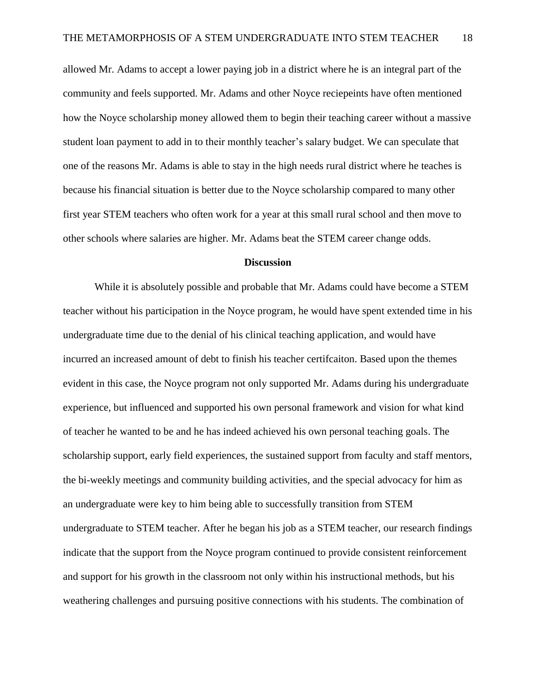allowed Mr. Adams to accept a lower paying job in a district where he is an integral part of the community and feels supported. Mr. Adams and other Noyce reciepeints have often mentioned how the Noyce scholarship money allowed them to begin their teaching career without a massive student loan payment to add in to their monthly teacher's salary budget. We can speculate that one of the reasons Mr. Adams is able to stay in the high needs rural district where he teaches is because his financial situation is better due to the Noyce scholarship compared to many other first year STEM teachers who often work for a year at this small rural school and then move to other schools where salaries are higher. Mr. Adams beat the STEM career change odds.

# **Discussion**

While it is absolutely possible and probable that Mr. Adams could have become a STEM teacher without his participation in the Noyce program, he would have spent extended time in his undergraduate time due to the denial of his clinical teaching application, and would have incurred an increased amount of debt to finish his teacher certifcaiton. Based upon the themes evident in this case, the Noyce program not only supported Mr. Adams during his undergraduate experience, but influenced and supported his own personal framework and vision for what kind of teacher he wanted to be and he has indeed achieved his own personal teaching goals. The scholarship support, early field experiences, the sustained support from faculty and staff mentors, the bi-weekly meetings and community building activities, and the special advocacy for him as an undergraduate were key to him being able to successfully transition from STEM undergraduate to STEM teacher. After he began his job as a STEM teacher, our research findings indicate that the support from the Noyce program continued to provide consistent reinforcement and support for his growth in the classroom not only within his instructional methods, but his weathering challenges and pursuing positive connections with his students. The combination of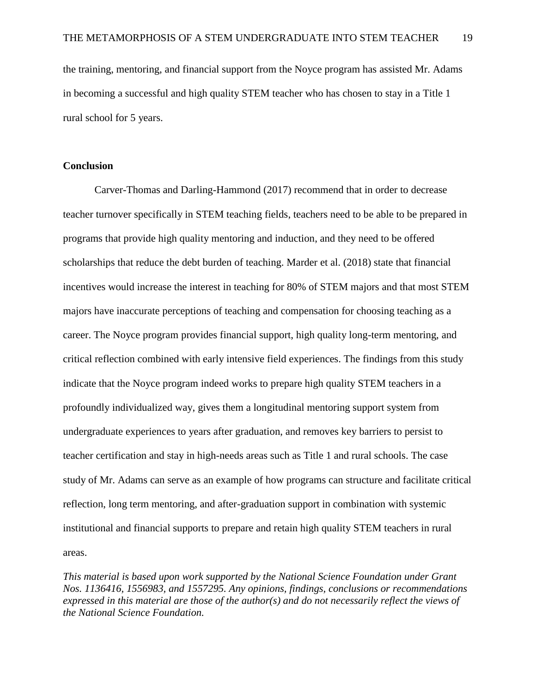the training, mentoring, and financial support from the Noyce program has assisted Mr. Adams in becoming a successful and high quality STEM teacher who has chosen to stay in a Title 1 rural school for 5 years.

# **Conclusion**

Carver-Thomas and Darling-Hammond (2017) recommend that in order to decrease teacher turnover specifically in STEM teaching fields, teachers need to be able to be prepared in programs that provide high quality mentoring and induction, and they need to be offered scholarships that reduce the debt burden of teaching. Marder et al. (2018) state that financial incentives would increase the interest in teaching for 80% of STEM majors and that most STEM majors have inaccurate perceptions of teaching and compensation for choosing teaching as a career. The Noyce program provides financial support, high quality long-term mentoring, and critical reflection combined with early intensive field experiences. The findings from this study indicate that the Noyce program indeed works to prepare high quality STEM teachers in a profoundly individualized way, gives them a longitudinal mentoring support system from undergraduate experiences to years after graduation, and removes key barriers to persist to teacher certification and stay in high-needs areas such as Title 1 and rural schools. The case study of Mr. Adams can serve as an example of how programs can structure and facilitate critical reflection, long term mentoring, and after-graduation support in combination with systemic institutional and financial supports to prepare and retain high quality STEM teachers in rural areas.

*This material is based upon work supported by the National Science Foundation under Grant Nos. 1136416, 1556983, and 1557295. Any opinions, findings, conclusions or recommendations expressed in this material are those of the author(s) and do not necessarily reflect the views of the National Science Foundation.*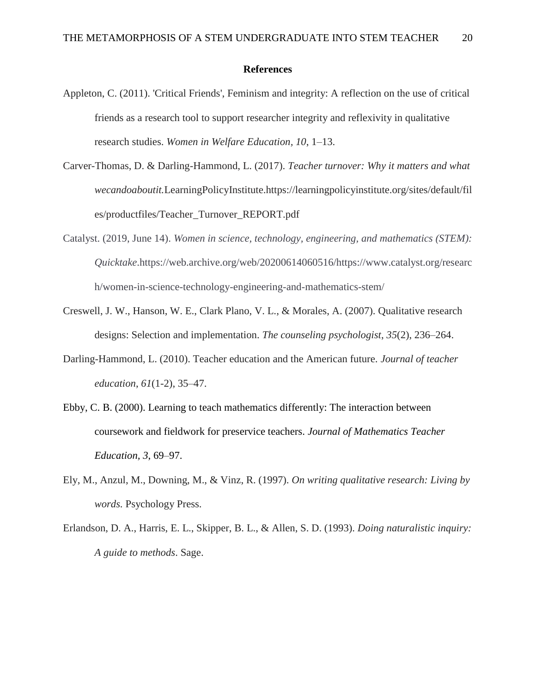#### **References**

- Appleton, C. (2011). 'Critical Friends', Feminism and integrity: A reflection on the use of critical friends as a research tool to support researcher integrity and reflexivity in qualitative research studies. *Women in Welfare Education, 10*, 1–13.
- Carver-Thomas, D. & Darling-Hammond, L. (2017). *Teacher turnover: Why it matters and what wecandoaboutit.*LearningPolicyInstitute.https://learningpolicyinstitute.org/sites/default/fil es/productfiles/Teacher\_Turnover\_REPORT.pdf
- Catalyst. (2019, June 14). *Women in science, technology, engineering, and mathematics (STEM): Quicktake*.https://web.archive.org/web/20200614060516/https://www.catalyst.org/researc h/women-in-science-technology-engineering-and-mathematics-stem/
- Creswell, J. W., Hanson, W. E., Clark Plano, V. L., & Morales, A. (2007). Qualitative research designs: Selection and implementation. *The counseling psychologist*, *35*(2), 236–264.
- Darling-Hammond, L. (2010). Teacher education and the American future. *Journal of teacher education*, *61*(1-2), 35–47.
- Ebby, C. B. (2000). Learning to teach mathematics differently: The interaction between coursework and fieldwork for preservice teachers. *Journal of Mathematics Teacher Education, 3*, 69–97.
- Ely, M., Anzul, M., Downing, M., & Vinz, R. (1997). *On writing qualitative research: Living by words.* Psychology Press.
- Erlandson, D. A., Harris, E. L., Skipper, B. L., & Allen, S. D. (1993). *Doing naturalistic inquiry: A guide to methods*. Sage.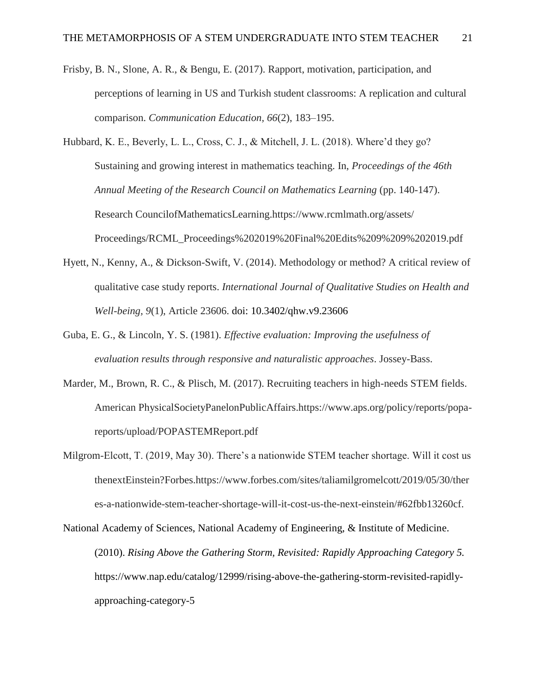- Frisby, B. N., Slone, A. R., & Bengu, E. (2017). Rapport, motivation, participation, and perceptions of learning in US and Turkish student classrooms: A replication and cultural comparison. *Communication Education, 66*(2), 183–195.
- Hubbard, K. E., Beverly, L. L., Cross, C. J., & Mitchell, J. L. (2018). Where'd they go? Sustaining and growing interest in mathematics teaching. In, *Proceedings of the 46th Annual Meeting of the Research Council on Mathematics Learning* (pp. 140-147). Research CouncilofMathematicsLearning.https://www.rcmlmath.org/assets/ Proceedings/RCML\_Proceedings%202019%20Final%20Edits%209%209%202019.pdf
- Hyett, N., Kenny, A., & Dickson-Swift, V. (2014). Methodology or method? A critical review of qualitative case study reports. *International Journal of Qualitative Studies on Health and Well-being, 9*(1), Article 23606. doi: 10.3402/qhw.v9.23606
- Guba, E. G., & Lincoln, Y. S. (1981). *Effective evaluation: Improving the usefulness of evaluation results through responsive and naturalistic approaches*. Jossey-Bass.
- Marder, M., Brown, R. C., & Plisch, M. (2017). Recruiting teachers in high-needs STEM fields. American PhysicalSocietyPanelonPublicAffairs.https://www.aps.org/policy/reports/popareports/upload/POPASTEMReport.pdf
- Milgrom-Elcott, T. (2019, May 30). There's a nationwide STEM teacher shortage. Will it cost us thenextEinstein?Forbes.https://www.forbes.com/sites/taliamilgromelcott/2019/05/30/ther es-a-nationwide-stem-teacher-shortage-will-it-cost-us-the-next-einstein/#62fbb13260cf.

National Academy of Sciences, National Academy of Engineering, & Institute of Medicine. (2010). *Rising Above the Gathering Storm, Revisited: Rapidly Approaching Category 5.*  https://www.nap.edu/catalog/12999/rising-above-the-gathering-storm-revisited-rapidlyapproaching-category-5